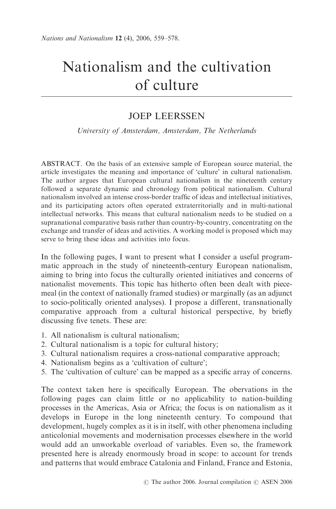# Nationalism and the cultivation of culture

# JOEP LEERSSEN

University of Amsterdam, Amsterdam, The Netherlands

ABSTRACT. On the basis of an extensive sample of European source material, the article investigates the meaning and importance of 'culture' in cultural nationalism. The author argues that European cultural nationalism in the nineteenth century followed a separate dynamic and chronology from political nationalism. Cultural nationalism involved an intense cross-border traffic of ideas and intellectual initiatives, and its participating actors often operated extraterritorially and in multi-national intellectual networks. This means that cultural nationalism needs to be studied on a supranational comparative basis rather than country-by-country, concentrating on the exchange and transfer of ideas and activities. A working model is proposed which may serve to bring these ideas and activities into focus.

In the following pages, I want to present what I consider a useful programmatic approach in the study of nineteenth-century European nationalism, aiming to bring into focus the culturally oriented initiatives and concerns of nationalist movements. This topic has hitherto often been dealt with piecemeal (in the context of nationally framed studies) or marginally (as an adjunct to socio-politically oriented analyses). I propose a different, transnationally comparative approach from a cultural historical perspective, by briefly discussing five tenets. These are:

- 1. All nationalism is cultural nationalism;
- 2. Cultural nationalism is a topic for cultural history;
- 3. Cultural nationalism requires a cross-national comparative approach;
- 4. Nationalism begins as a 'cultivation of culture';
- 5. The 'cultivation of culture' can be mapped as a specific array of concerns.

The context taken here is specifically European. The obervations in the following pages can claim little or no applicability to nation-building processes in the Americas, Asia or Africa; the focus is on nationalism as it develops in Europe in the long nineteenth century. To compound that development, hugely complex as it is in itself, with other phenomena including anticolonial movements and modernisation processes elsewhere in the world would add an unworkable overload of variables. Even so, the framework presented here is already enormously broad in scope: to account for trends and patterns that would embrace Catalonia and Finland, France and Estonia,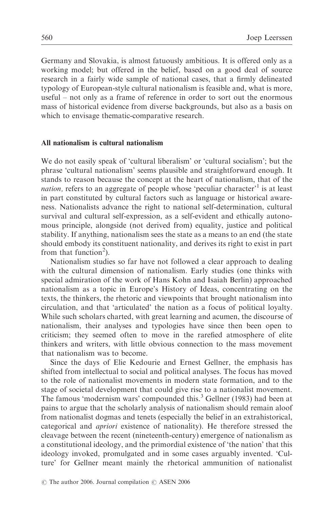Germany and Slovakia, is almost fatuously ambitious. It is offered only as a working model; but offered in the belief, based on a good deal of source research in a fairly wide sample of national cases, that a firmly delineated typology of European-style cultural nationalism is feasible and, what is more, useful – not only as a frame of reference in order to sort out the enormous mass of historical evidence from diverse backgrounds, but also as a basis on which to envisage thematic-comparative research.

## All nationalism is cultural nationalism

We do not easily speak of 'cultural liberalism' or 'cultural socialism'; but the phrase 'cultural nationalism' seems plausible and straightforward enough. It stands to reason because the concept at the heart of nationalism, that of the *nation*, refers to an aggregate of people whose 'peculiar character'<sup>1</sup> is at least in part constituted by cultural factors such as language or historical awareness. Nationalists advance the right to national self-determination, cultural survival and cultural self-expression, as a self-evident and ethically autonomous principle, alongside (not derived from) equality, justice and political stability. If anything, nationalism sees the state as a means to an end (the state should embody its constituent nationality, and derives its right to exist in part from that function<sup>2</sup>).

Nationalism studies so far have not followed a clear approach to dealing with the cultural dimension of nationalism. Early studies (one thinks with special admiration of the work of Hans Kohn and Isaiah Berlin) approached nationalism as a topic in Europe's History of Ideas, concentrating on the texts, the thinkers, the rhetoric and viewpoints that brought nationalism into circulation, and that 'articulated' the nation as a focus of political loyalty. While such scholars charted, with great learning and acumen, the discourse of nationalism, their analyses and typologies have since then been open to criticism; they seemed often to move in the rarefied atmosphere of elite thinkers and writers, with little obvious connection to the mass movement that nationalism was to become.

Since the days of Elie Kedourie and Ernest Gellner, the emphasis has shifted from intellectual to social and political analyses. The focus has moved to the role of nationalist movements in modern state formation, and to the stage of societal development that could give rise to a nationalist movement. The famous 'modernism wars' compounded this.<sup>3</sup> Gellner (1983) had been at pains to argue that the scholarly analysis of nationalism should remain aloof from nationalist dogmas and tenets (especially the belief in an extrahistorical, categorical and apriori existence of nationality). He therefore stressed the cleavage between the recent (nineteenth-century) emergence of nationalism as a constitutional ideology, and the primordial existence of 'the nation' that this ideology invoked, promulgated and in some cases arguably invented. 'Culture' for Gellner meant mainly the rhetorical ammunition of nationalist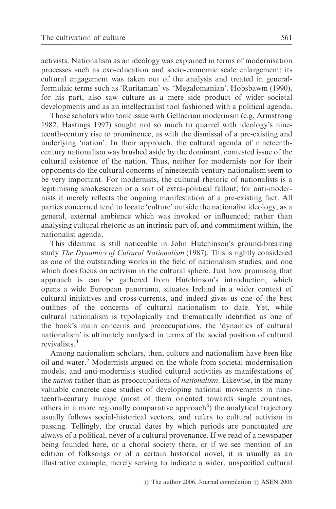activists. Nationalism as an ideology was explained in terms of modernisation processes such as exo-education and socio-economic scale enlargement; its cultural engagement was taken out of the analysis and treated in generalformulaic terms such as 'Ruritanian' vs. 'Megalomanian'. Hobsbawm (1990), for his part, also saw culture as a mere side product of wider societal developments and as an intellectualist tool fashioned with a political agenda.

Those scholars who took issue with Gellnerian modernism (e.g. Armstrong 1982, Hastings 1997) sought not so much to quarrel with ideology's nineteenth-century rise to prominence, as with the dismissal of a pre-existing and underlying 'nation'. In their approach, the cultural agenda of nineteenthcentury nationalism was brushed aside by the dominant, contested issue of the cultural existence of the nation. Thus, neither for modernists nor for their opponents do the cultural concerns of nineteenth-century nationalism seem to be very important. For modernists, the cultural rhetoric of nationalists is a legitimising smokescreen or a sort of extra-political fallout; for anti-modernists it merely reflects the ongoing manifestation of a pre-existing fact. All parties concerned tend to locate 'culture' outside the nationalist ideology, as a general, external ambience which was invoked or influenced; rather than analysing cultural rhetoric as an intrinsic part of, and commitment within, the nationalist agenda.

This dilemma is still noticeable in John Hutchinson's ground-breaking study The Dynamics of Cultural Nationalism (1987). This is rightly considered as one of the outstanding works in the field of nationalism studies, and one which does focus on activism in the cultural sphere. Just how promising that approach is can be gathered from Hutchinson's introduction, which opens a wide European panorama, situates Ireland in a wider context of cultural initiatives and cross-currents, and indeed gives us one of the best outlines of the concerns of cultural nationalism to date. Yet, while cultural nationalism is typologically and thematically identified as one of the book's main concerns and preoccupations, the 'dynamics of cultural nationalism' is ultimately analysed in terms of the social position of cultural revivalists.<sup>4</sup>

Among nationalism scholars, then, culture and nationalism have been like oil and water.<sup>5</sup> Modernists argued on the whole from societal modernisation models, and anti-modernists studied cultural activities as manifestations of the *nation* rather than as preoccupations of *nationalism*. Likewise, in the many valuable concrete case studies of developing national movements in nineteenth-century Europe (most of them oriented towards single countries, others in a more regionally comparative approach<sup>6</sup>) the analytical trajectory usually follows social-historical vectors, and refers to cultural activism in passing. Tellingly, the crucial dates by which periods are punctuated are always of a political, never of a cultural provenance. If we read of a newspaper being founded here, or a choral society there, or if we see mention of an edition of folksongs or of a certain historical novel, it is usually as an illustrative example, merely serving to indicate a wider, unspecified cultural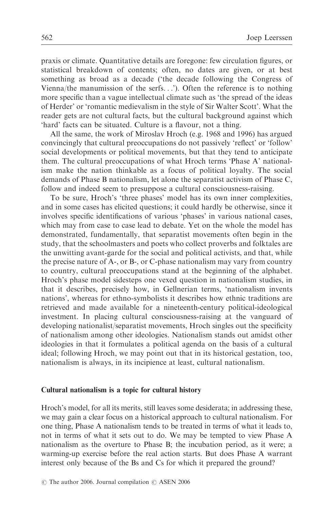praxis or climate. Quantitative details are foregone: few circulation figures, or statistical breakdown of contents; often, no dates are given, or at best something as broad as a decade ('the decade following the Congress of Vienna/the manumission of the serfs. . .'). Often the reference is to nothing more specific than a vague intellectual climate such as 'the spread of the ideas of Herder' or 'romantic medievalism in the style of Sir Walter Scott'. What the reader gets are not cultural facts, but the cultural background against which 'hard' facts can be situated. Culture is a flavour, not a thing.

All the same, the work of Miroslav Hroch (e.g. 1968 and 1996) has argued convincingly that cultural preoccupations do not passively 'reflect' or 'follow' social developments or political movements, but that they tend to anticipate them. The cultural preoccupations of what Hroch terms 'Phase A' nationalism make the nation thinkable as a focus of political loyalty. The social demands of Phase B nationalism, let alone the separatist activism of Phase C, follow and indeed seem to presuppose a cultural consciousness-raising.

To be sure, Hroch's 'three phases' model has its own inner complexities, and in some cases has elicited questions; it could hardly be otherwise, since it involves specific identifications of various 'phases' in various national cases, which may from case to case lead to debate. Yet on the whole the model has demonstrated, fundamentally, that separatist movements often begin in the study, that the schoolmasters and poets who collect proverbs and folktales are the unwitting avant-garde for the social and political activists, and that, while the precise nature of A-, or B-, or C-phase nationalism may vary from country to country, cultural preoccupations stand at the beginning of the alphabet. Hroch's phase model sidesteps one vexed question in nationalism studies, in that it describes, precisely how, in Gellnerian terms, 'nationalism invents nations', whereas for ethno-symbolists it describes how ethnic traditions are retrieved and made available for a nineteenth-century political-ideological investment. In placing cultural consciousness-raising at the vanguard of developing nationalist/separatist movements, Hroch singles out the specificity of nationalism among other ideologies. Nationalism stands out amidst other ideologies in that it formulates a political agenda on the basis of a cultural ideal; following Hroch, we may point out that in its historical gestation, too, nationalism is always, in its incipience at least, cultural nationalism.

#### Cultural nationalism is a topic for cultural history

Hroch's model, for all its merits, still leaves some desiderata; in addressing these, we may gain a clear focus on a historical approach to cultural nationalism. For one thing, Phase A nationalism tends to be treated in terms of what it leads to, not in terms of what it sets out to do. We may be tempted to view Phase A nationalism as the overture to Phase B; the incubation period, as it were; a warming-up exercise before the real action starts. But does Phase A warrant interest only because of the Bs and Cs for which it prepared the ground?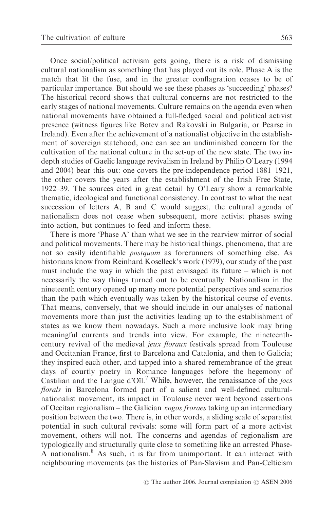Once social/political activism gets going, there is a risk of dismissing cultural nationalism as something that has played out its role. Phase A is the match that lit the fuse, and in the greater conflagration ceases to be of particular importance. But should we see these phases as 'succeeding' phases? The historical record shows that cultural concerns are not restricted to the early stages of national movements. Culture remains on the agenda even when national movements have obtained a full-fledged social and political activist presence (witness figures like Botev and Rakovski in Bulgaria, or Pearse in Ireland). Even after the achievement of a nationalist objective in the establishment of sovereign statehood, one can see an undiminished concern for the cultivation of the national culture in the set-up of the new state. The two indepth studies of Gaelic language revivalism in Ireland by Philip O'Leary (1994 and 2004) bear this out: one covers the pre-independence period 1881–1921, the other covers the years after the establishment of the Irish Free State, 1922–39. The sources cited in great detail by O'Leary show a remarkable thematic, ideological and functional consistency. In contrast to what the neat succession of letters A, B and C would suggest, the cultural agenda of nationalism does not cease when subsequent, more activist phases swing into action, but continues to feed and inform these.

There is more 'Phase A' than what we see in the rearview mirror of social and political movements. There may be historical things, phenomena, that are not so easily identifiable postquam as forerunners of something else. As historians know from Reinhard Koselleck's work (1979), our study of the past must include the way in which the past envisaged its future – which is not necessarily the way things turned out to be eventually. Nationalism in the nineteenth century opened up many more potential perspectives and scenarios than the path which eventually was taken by the historical course of events. That means, conversely, that we should include in our analyses of national movements more than just the activities leading up to the establishment of states as we know them nowadays. Such a more inclusive look may bring meaningful currents and trends into view. For example, the nineteenthcentury revival of the medieval *jeux floraux* festivals spread from Toulouse and Occitanian France, first to Barcelona and Catalonia, and then to Galicia; they inspired each other, and tapped into a shared remembrance of the great days of courtly poetry in Romance languages before the hegemony of Castilian and the Langue d'Oïl.<sup>7</sup> While, however, the renaissance of the *jocs* florals in Barcelona formed part of a salient and well-defined culturalnationalist movement, its impact in Toulouse never went beyond assertions of Occitan regionalism – the Galician *xogos froraes* taking up an intermediary position between the two. There is, in other words, a sliding scale of separatist potential in such cultural revivals: some will form part of a more activist movement, others will not. The concerns and agendas of regionalism are typologically and structurally quite close to something like an arrested Phase-A nationalism.<sup>8</sup> As such, it is far from unimportant. It can interact with neighbouring movements (as the histories of Pan-Slavism and Pan-Celticism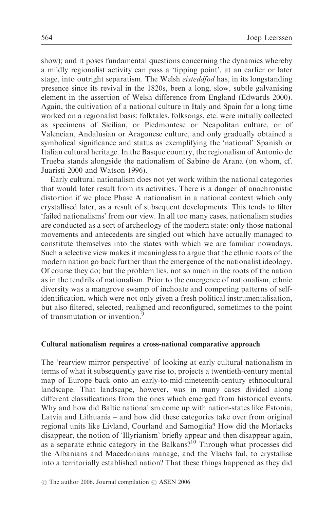show); and it poses fundamental questions concerning the dynamics whereby a mildly regionalist activity can pass a 'tipping point', at an earlier or later stage, into outright separatism. The Welsh eisteddfod has, in its longstanding presence since its revival in the 1820s, been a long, slow, subtle galvanising element in the assertion of Welsh difference from England (Edwards 2000). Again, the cultivation of a national culture in Italy and Spain for a long time worked on a regionalist basis: folktales, folksongs, etc. were initially collected as specimens of Sicilian, or Piedmontese or Neapolitan culture, or of Valencian, Andalusian or Aragonese culture, and only gradually obtained a symbolical significance and status as exemplifying the 'national' Spanish or Italian cultural heritage. In the Basque country, the regionalism of Antonio de Trueba stands alongside the nationalism of Sabino de Arana (on whom, cf. Juaristi 2000 and Watson 1996).

Early cultural nationalism does not yet work within the national categories that would later result from its activities. There is a danger of anachronistic distortion if we place Phase A nationalism in a national context which only crystallised later, as a result of subsequent developments. This tends to filter 'failed nationalisms' from our view. In all too many cases, nationalism studies are conducted as a sort of archeology of the modern state: only those national movements and antecedents are singled out which have actually managed to constitute themselves into the states with which we are familiar nowadays. Such a selective view makes it meaningless to argue that the ethnic roots of the modern nation go back further than the emergence of the nationalist ideology. Of course they do; but the problem lies, not so much in the roots of the nation as in the tendrils of nationalism. Prior to the emergence of nationalism, ethnic diversity was a mangrove swamp of inchoate and competing patterns of selfidentification, which were not only given a fresh political instrumentalisation, but also filtered, selected, realigned and reconfigured, sometimes to the point of transmutation or invention.<sup>9</sup>

#### Cultural nationalism requires a cross-national comparative approach

The 'rearview mirror perspective' of looking at early cultural nationalism in terms of what it subsequently gave rise to, projects a twentieth-century mental map of Europe back onto an early-to-mid-nineteenth-century ethnocultural landscape. That landscape, however, was in many cases divided along different classifications from the ones which emerged from historical events. Why and how did Baltic nationalism come up with nation-states like Estonia, Latvia and Lithuania – and how did these categories take over from original regional units like Livland, Courland and Samogitia? How did the Morlacks disappear, the notion of 'Illyrianism' briefly appear and then disappear again, as a separate ethnic category in the Balkans?<sup>10</sup> Through what processes did the Albanians and Macedonians manage, and the Vlachs fail, to crystallise into a territorially established nation? That these things happened as they did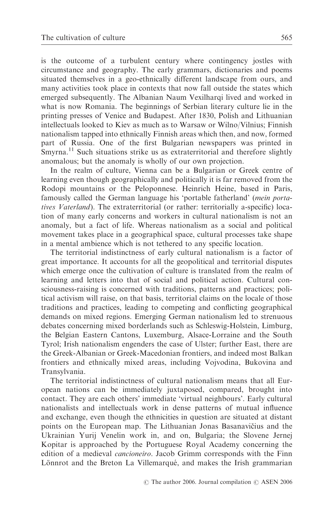is the outcome of a turbulent century where contingency jostles with circumstance and geography. The early grammars, dictionaries and poems situated themselves in a geo-ethnically different landscape from ours, and many activities took place in contexts that now fall outside the states which emerged subsequently. The Albanian Naum Vexilharqi lived and worked in what is now Romania. The beginnings of Serbian literary culture lie in the printing presses of Venice and Budapest. After 1830, Polish and Lithuanian intellectuals looked to Kiev as much as to Warsaw or Wilno/Vilnius; Finnish nationalism tapped into ethnically Finnish areas which then, and now, formed part of Russia. One of the first Bulgarian newspapers was printed in Smyrna.<sup>11</sup> Such situations strike us as extraterritorial and therefore slightly anomalous; but the anomaly is wholly of our own projection.

In the realm of culture, Vienna can be a Bulgarian or Greek centre of learning even though geographically and politically it is far removed from the Rodopi mountains or the Peloponnese. Heinrich Heine, based in Paris, famously called the German language his 'portable fatherland' (mein portatives Vaterland). The extraterritorial (or rather: territorially a-specific) location of many early concerns and workers in cultural nationalism is not an anomaly, but a fact of life. Whereas nationalism as a social and political movement takes place in a geographical space, cultural processes take shape in a mental ambience which is not tethered to any specific location.

The territorial indistinctness of early cultural nationalism is a factor of great importance. It accounts for all the geopolitical and territorial disputes which emerge once the cultivation of culture is translated from the realm of learning and letters into that of social and political action. Cultural consciousness-raising is concerned with traditions, patterns and practices; political activism will raise, on that basis, territorial claims on the locale of those traditions and practices, leading to competing and conflicting geographical demands on mixed regions. Emerging German nationalism led to strenuous debates concerning mixed borderlands such as Schleswig-Holstein, Limburg, the Belgian Eastern Cantons, Luxemburg, Alsace-Lorraine and the South Tyrol; Irish nationalism engenders the case of Ulster; further East, there are the Greek-Albanian or Greek-Macedonian frontiers, and indeed most Balkan frontiers and ethnically mixed areas, including Vojvodina, Bukovina and Transylvania.

The territorial indistinctness of cultural nationalism means that all European nations can be immediately juxtaposed, compared, brought into contact. They are each others' immediate 'virtual neighbours'. Early cultural nationalists and intellectuals work in dense patterns of mutual influence and exchange, even though the ethnicities in question are situated at distant points on the European map. The Lithuanian Jonas Basanavičius and the Ukrainian Yurij Venelin work in, and on, Bulgaria; the Slovene Jernej Kopitar is approached by the Portuguese Royal Academy concerning the edition of a medieval *cancioneiro*. Jacob Grimm corresponds with the Finn Lönnrot and the Breton La Villemarqué, and makes the Irish grammarian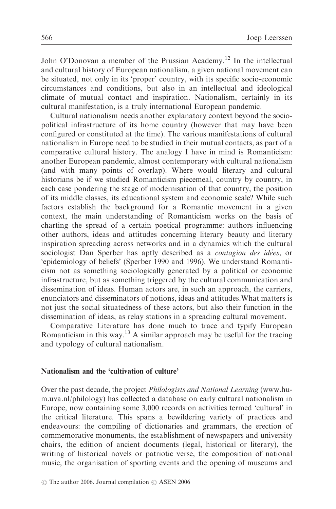John O'Donovan a member of the Prussian Academy.<sup>12</sup> In the intellectual and cultural history of European nationalism, a given national movement can be situated, not only in its 'proper' country, with its specific socio-economic circumstances and conditions, but also in an intellectual and ideological climate of mutual contact and inspiration. Nationalism, certainly in its cultural manifestation, is a truly international European pandemic.

Cultural nationalism needs another explanatory context beyond the sociopolitical infrastructure of its home country (however that may have been configured or constituted at the time). The various manifestations of cultural nationalism in Europe need to be studied in their mutual contacts, as part of a comparative cultural history. The analogy I have in mind is Romanticism: another European pandemic, almost contemporary with cultural nationalism (and with many points of overlap). Where would literary and cultural historians be if we studied Romanticism piecemeal, country by country, in each case pondering the stage of modernisation of that country, the position of its middle classes, its educational system and economic scale? While such factors establish the background for a Romantic movement in a given context, the main understanding of Romanticism works on the basis of charting the spread of a certain poetical programme: authors influencing other authors, ideas and attitudes concerning literary beauty and literary inspiration spreading across networks and in a dynamics which the cultural sociologist Dan Sperber has aptly described as a contagion des idées, or 'epidemiology of beliefs' (Sperber 1990 and 1996). We understand Romanticism not as something sociologically generated by a political or economic infrastructure, but as something triggered by the cultural communication and dissemination of ideas. Human actors are, in such an approach, the carriers, enunciators and disseminators of notions, ideas and attitudes.What matters is not just the social situatedness of these actors, but also their function in the dissemination of ideas, as relay stations in a spreading cultural movement.

Comparative Literature has done much to trace and typify European Romanticism in this way.<sup>13</sup> A similar approach may be useful for the tracing and typology of cultural nationalism.

#### Nationalism and the 'cultivation of culture'

Over the past decade, the project Philologists and National Learning (www.hum.uva.nl/philology) has collected a database on early cultural nationalism in Europe, now containing some 3,000 records on activities termed 'cultural' in the critical literature. This spans a bewildering variety of practices and endeavours: the compiling of dictionaries and grammars, the erection of commemorative monuments, the establishment of newspapers and university chairs, the edition of ancient documents (legal, historical or literary), the writing of historical novels or patriotic verse, the composition of national music, the organisation of sporting events and the opening of museums and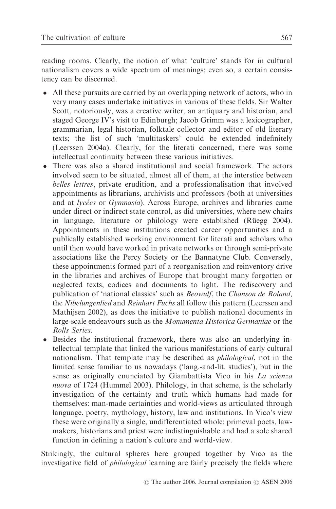reading rooms. Clearly, the notion of what 'culture' stands for in cultural nationalism covers a wide spectrum of meanings; even so, a certain consistency can be discerned.

- All these pursuits are carried by an overlapping network of actors, who in very many cases undertake initiatives in various of these fields. Sir Walter Scott, notoriously, was a creative writer, an antiquary and historian, and staged George IV's visit to Edinburgh; Jacob Grimm was a lexicographer, grammarian, legal historian, folktale collector and editor of old literary texts; the list of such 'multitaskers' could be extended indefinitely (Leerssen 2004a). Clearly, for the literati concerned, there was some intellectual continuity between these various initiatives.
- There was also a shared institutional and social framework. The actors involved seem to be situated, almost all of them, at the interstice between belles lettres, private erudition, and a professionalisation that involved appointments as librarians, archivists and professors (both at universities and at lycées or Gymnasia). Across Europe, archives and libraries came under direct or indirect state control, as did universities, where new chairs in language, literature or philology were established (Rüegg 2004). Appointments in these institutions created career opportunities and a publically established working environment for literati and scholars who until then would have worked in private networks or through semi-private associations like the Percy Society or the Bannatyne Club. Conversely, these appointments formed part of a reorganisation and reinventory drive in the libraries and archives of Europe that brought many forgotten or neglected texts, codices and documents to light. The rediscovery and publication of 'national classics' such as *Beowulf*, the Chanson de Roland, the Nibelungenlied and Reinhart Fuchs all follow this pattern (Leerssen and Mathijsen 2002), as does the initiative to publish national documents in large-scale endeavours such as the *Monumenta Historica Germaniae* or the Rolls Series.
- Besides the institutional framework, there was also an underlying intellectual template that linked the various manifestations of early cultural nationalism. That template may be described as *philological*, not in the limited sense familiar to us nowadays ('lang.-and-lit. studies'), but in the sense as originally enunciated by Giambattista Vico in his La scienza nuova of 1724 (Hummel 2003). Philology, in that scheme, is the scholarly investigation of the certainty and truth which humans had made for themselves: man-made certainties and world-views as articulated through language, poetry, mythology, history, law and institutions. In Vico's view these were originally a single, undifferentiated whole: primeval poets, lawmakers, historians and priest were indistinguishable and had a sole shared function in defining a nation's culture and world-view.

Strikingly, the cultural spheres here grouped together by Vico as the investigative field of *philological* learning are fairly precisely the fields where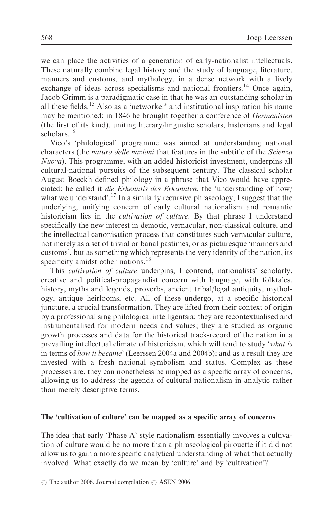we can place the activities of a generation of early-nationalist intellectuals. These naturally combine legal history and the study of language, literature, manners and customs, and mythology, in a dense network with a lively exchange of ideas across specialisms and national frontiers.<sup>14</sup> Once again, Jacob Grimm is a paradigmatic case in that he was an outstanding scholar in all these fields.<sup>15</sup> Also as a 'networker' and institutional inspiration his name may be mentioned: in 1846 he brought together a conference of Germanisten (the first of its kind), uniting literary/linguistic scholars, historians and legal scholars<sup>16</sup>

Vico's 'philological' programme was aimed at understanding national characters (the *natura delle nazioni* that features in the subtitle of the *Scienza* Nuova). This programme, with an added historicist investment, underpins all cultural-national pursuits of the subsequent century. The classical scholar August Boeckh defined philology in a phrase that Vico would have appreciated: he called it die Erkenntis des Erkannten, the 'understanding of how/ what we understand'.<sup>17</sup> In a similarly recursive phraseology, I suggest that the underlying, unifying concern of early cultural nationalism and romantic historicism lies in the cultivation of culture. By that phrase I understand specifically the new interest in demotic, vernacular, non-classical culture, and the intellectual canonisation process that constitutes such vernacular culture, not merely as a set of trivial or banal pastimes, or as picturesque 'manners and customs', but as something which represents the very identity of the nation, its specificity amidst other nations.<sup>18</sup>

This cultivation of culture underpins, I contend, nationalists' scholarly, creative and political-propagandist concern with language, with folktales, history, myths and legends, proverbs, ancient tribal/legal antiquity, mythology, antique heirlooms, etc. All of these undergo, at a specific historical juncture, a crucial transformation. They are lifted from their context of origin by a professionalising philological intelligentsia; they are recontextualised and instrumentalised for modern needs and values; they are studied as organic growth processes and data for the historical track-record of the nation in a prevailing intellectual climate of historicism, which will tend to study 'what is in terms of how it became' (Leerssen 2004a and 2004b); and as a result they are invested with a fresh national symbolism and status. Complex as these processes are, they can nonetheless be mapped as a specific array of concerns, allowing us to address the agenda of cultural nationalism in analytic rather than merely descriptive terms.

#### The 'cultivation of culture' can be mapped as a specific array of concerns

The idea that early 'Phase A' style nationalism essentially involves a cultivation of culture would be no more than a phraseological pirouette if it did not allow us to gain a more specific analytical understanding of what that actually involved. What exactly do we mean by 'culture' and by 'cultivation'?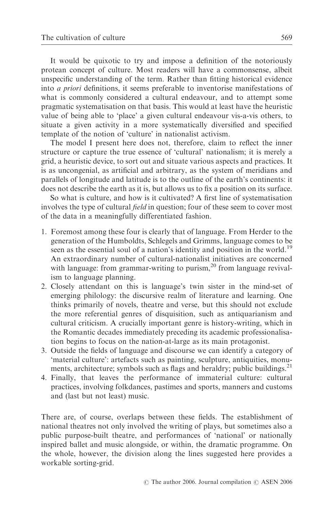It would be quixotic to try and impose a definition of the notoriously protean concept of culture. Most readers will have a commonsense, albeit unspecific understanding of the term. Rather than fitting historical evidence into a priori definitions, it seems preferable to inventorise manifestations of what is commonly considered a cultural endeavour, and to attempt some pragmatic systematisation on that basis. This would at least have the heuristic value of being able to 'place' a given cultural endeavour vis-a-vis others, to situate a given activity in a more systematically diversified and specified template of the notion of 'culture' in nationalist activism.

The model I present here does not, therefore, claim to reflect the inner structure or capture the true essence of 'cultural' nationalism; it is merely a grid, a heuristic device, to sort out and situate various aspects and practices. It is as uncongenial, as artificial and arbitrary, as the system of meridians and parallels of longitude and latitude is to the outline of the earth's continents: it does not describe the earth as it is, but allows us to fix a position on its surface.

So what is culture, and how is it cultivated? A first line of systematisation involves the type of cultural *field* in question; four of these seem to cover most of the data in a meaningfully differentiated fashion.

- 1. Foremost among these four is clearly that of language. From Herder to the generation of the Humboldts, Schlegels and Grimms, language comes to be seen as the essential soul of a nation's identity and position in the world.<sup>19</sup> An extraordinary number of cultural-nationalist initiatives are concerned with language: from grammar-writing to purism,<sup>20</sup> from language revivalism to language planning.
- 2. Closely attendant on this is language's twin sister in the mind-set of emerging philology: the discursive realm of literature and learning. One thinks primarily of novels, theatre and verse, but this should not exclude the more referential genres of disquisition, such as antiquarianism and cultural criticism. A crucially important genre is history-writing, which in the Romantic decades immediately preceding its academic professionalisation begins to focus on the nation-at-large as its main protagonist.
- 3. Outside the fields of language and discourse we can identify a category of 'material culture': artefacts such as painting, sculpture, antiquities, monuments, architecture; symbols such as flags and heraldry; public buildings. $^{21}$
- 4. Finally, that leaves the performance of immaterial culture: cultural practices, involving folkdances, pastimes and sports, manners and customs and (last but not least) music.

There are, of course, overlaps between these fields. The establishment of national theatres not only involved the writing of plays, but sometimes also a public purpose-built theatre, and performances of 'national' or nationally inspired ballet and music alongside, or within, the dramatic programme. On the whole, however, the division along the lines suggested here provides a workable sorting-grid.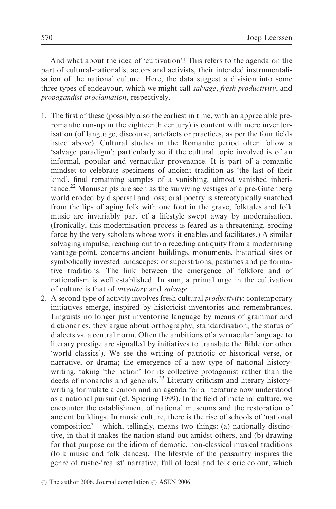And what about the idea of 'cultivation'? This refers to the agenda on the part of cultural-nationalist actors and activists, their intended instrumentalisation of the national culture. Here, the data suggest a division into some three types of endeavour, which we might call *salvage*, fresh productivity, and propagandist proclamation, respectively.

- 1. The first of these (possibly also the earliest in time, with an appreciable preromantic run-up in the eighteenth century) is content with mere inventorisation (of language, discourse, artefacts or practices, as per the four fields listed above). Cultural studies in the Romantic period often follow a 'salvage paradigm'; particularly so if the cultural topic involved is of an informal, popular and vernacular provenance. It is part of a romantic mindset to celebrate specimens of ancient tradition as 'the last of their kind', final remaining samples of a vanishing, almost vanished inheritance.<sup>22</sup> Manuscripts are seen as the surviving vestiges of a pre-Gutenberg world eroded by dispersal and loss; oral poetry is stereotypically snatched from the lips of aging folk with one foot in the grave; folktales and folk music are invariably part of a lifestyle swept away by modernisation. (Ironically, this modernisation process is feared as a threatening, eroding force by the very scholars whose work it enables and facilitates.) A similar salvaging impulse, reaching out to a receding antiquity from a modernising vantage-point, concerns ancient buildings, monuments, historical sites or symbolically invested landscapes; or superstitions, pastimes and performative traditions. The link between the emergence of folklore and of nationalism is well established. In sum, a primal urge in the cultivation of culture is that of inventory and salvage.
- 2. A second type of activity involves fresh cultural productivity: contemporary initiatives emerge, inspired by historicist inventories and remembrances. Linguists no longer just inventorise language by means of grammar and dictionaries, they argue about orthography, standardisation, the status of dialects vs. a central norm. Often the ambitions of a vernacular language to literary prestige are signalled by initiatives to translate the Bible (or other 'world classics'). We see the writing of patriotic or historical verse, or narrative, or drama; the emergence of a new type of national historywriting, taking 'the nation' for its collective protagonist rather than the deeds of monarchs and generals.<sup>23</sup> Literary criticism and literary historywriting formulate a canon and an agenda for a literature now understood as a national pursuit (cf. Spiering 1999). In the field of material culture, we encounter the establishment of national museums and the restoration of ancient buildings. In music culture, there is the rise of schools of 'national composition' – which, tellingly, means two things: (a) nationally distinctive, in that it makes the nation stand out amidst others, and (b) drawing for that purpose on the idiom of demotic, non-classical musical traditions (folk music and folk dances). The lifestyle of the peasantry inspires the genre of rustic-'realist' narrative, full of local and folkloric colour, which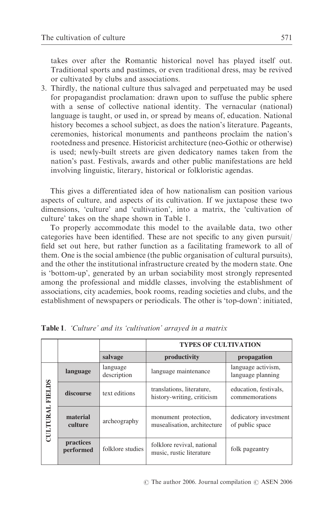takes over after the Romantic historical novel has played itself out. Traditional sports and pastimes, or even traditional dress, may be revived or cultivated by clubs and associations.

3. Thirdly, the national culture thus salvaged and perpetuated may be used for propagandist proclamation: drawn upon to suffuse the public sphere with a sense of collective national identity. The vernacular (national) language is taught, or used in, or spread by means of, education. National history becomes a school subject, as does the nation's literature. Pageants, ceremonies, historical monuments and pantheons proclaim the nation's rootedness and presence. Historicist architecture (neo-Gothic or otherwise) is used; newly-built streets are given dedicatory names taken from the nation's past. Festivals, awards and other public manifestations are held involving linguistic, literary, historical or folkloristic agendas.

This gives a differentiated idea of how nationalism can position various aspects of culture, and aspects of its cultivation. If we juxtapose these two dimensions, 'culture' and 'cultivation', into a matrix, the 'cultivation of culture' takes on the shape shown in Table 1.

To properly accommodate this model to the available data, two other categories have been identified. These are not specific to any given pursuit/ field set out here, but rather function as a facilitating framework to all of them. One is the social ambience (the public organisation of cultural pursuits), and the other the institutional infrastructure created by the modern state. One is 'bottom-up', generated by an urban sociability most strongly represented among the professional and middle classes, involving the establishment of associations, city academies, book rooms, reading societies and clubs, and the establishment of newspapers or periodicals. The other is 'top-down': initiated,

|                                  |                        |                         | <b>TYPES OF CULTIVATION</b>                             |                                          |
|----------------------------------|------------------------|-------------------------|---------------------------------------------------------|------------------------------------------|
|                                  |                        | salvage                 | productivity                                            | propagation                              |
| <b>FIELDS</b><br><b>CULTURAL</b> | language               | language<br>description | language maintenance                                    | language activism,<br>language planning  |
|                                  | discourse              | text editions           | translations, literature,<br>history-writing, criticism | education, festivals,<br>commemorations  |
|                                  | material<br>culture    | archeography            | monument protection,<br>musealisation, architecture     | dedicatory investment<br>of public space |
|                                  | practices<br>performed | folklore studies        | folklore revival, national<br>music, rustic literature  | folk pageantry                           |

Table 1. 'Culture' and its 'cultivation' arrayed in a matrix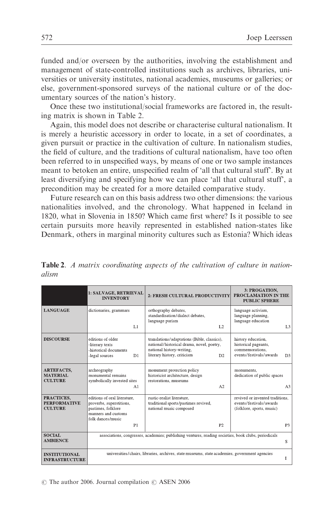funded and/or overseen by the authorities, involving the establishment and management of state-controlled institutions such as archives, libraries, universities or university institutes, national academies, museums or galleries; or else, government-sponsored surveys of the national culture or of the documentary sources of the nation's history.

Once these two institutional/social frameworks are factored in, the resulting matrix is shown in Table 2.

Again, this model does not describe or characterise cultural nationalism. It is merely a heuristic accessory in order to locate, in a set of coordinates, a given pursuit or practice in the cultivation of culture. In nationalism studies, the field of culture, and the traditions of cultural nationalism, have too often been referred to in unspecified ways, by means of one or two sample instances meant to betoken an entire, unspecified realm of 'all that cultural stuff'. By at least diversifying and specifying how we can place 'all that cultural stuff', a precondition may be created for a more detailed comparative study.

Future research can on this basis address two other dimensions: the various nationalities involved, and the chronology. What happened in Iceland in 1820, what in Slovenia in 1850? Which came first where? Is it possible to see certain pursuits more heavily represented in established nation-states like Denmark, others in marginal minority cultures such as Estonia? Which ideas

|                                                        | 1: SALVAGE, RETRIEVAL<br><b>INVENTORY</b>                                                                                        | 2: FRESH CULTURAL PRODUCTIVITY                                                                                                                             | 3: PROGATION,<br>PROCLAMATION IN THE<br><b>PUBLIC SPHERE</b>                                              |
|--------------------------------------------------------|----------------------------------------------------------------------------------------------------------------------------------|------------------------------------------------------------------------------------------------------------------------------------------------------------|-----------------------------------------------------------------------------------------------------------|
| <b>LANGUAGE</b>                                        | dictionaries, grammars<br>L1                                                                                                     | orthography debates,<br>standardisation/dialect debates.<br>language purism<br>L <sub>2</sub>                                                              | language activism,<br>language planning,<br>language education<br>L <sub>3</sub>                          |
| <b>DISCOURSE</b>                                       | editions of older<br>-literary texts<br>-historical documents<br>-legal sources<br>D1                                            | translations/adaptations (Bible, classics),<br>national/historical drama, novel, poetry,<br>national history-writing,<br>literary history, criticism<br>D2 | history education.<br>historical pageants,<br>commemorations.<br>events/festivals/awards<br>D3            |
| <b>ARTEFACTS.</b><br><b>MATERIAL</b><br><b>CULTURE</b> | archeography<br>monumental remains<br>symbolically invested sites<br>A1                                                          | monument protection policy<br>historicist architecture, design<br>restorations, museums<br>A <sub>2</sub>                                                  | monuments.<br>dedication of public spaces<br>A <sub>3</sub>                                               |
| PRACTICES,<br><b>PERFORMATIVE</b><br><b>CULTURE</b>    | editions of oral literature,<br>proverbs, superstitions,<br>pastimes, folklore<br>manners and customs<br>folk dances/music<br>P1 | rustic-realist literature,<br>traditional sports/pastimes revived,<br>national music composed<br>P <sub>2</sub>                                            | revived or invented traditions,<br>events/festivals/awards<br>(folklore, sports, music)<br>P <sub>3</sub> |
| <b>SOCIAL</b><br><b>AMBIENCE</b>                       | associations, congresses, academies; publishing ventures, reading societies, book clubs, periodicals<br>S                        |                                                                                                                                                            |                                                                                                           |
| <b>INSTITUTIONAL</b><br><b>INFRASTRUCTURE</b>          | universities/chairs, libraries, archives, state museums, state academies, government agencies                                    |                                                                                                                                                            |                                                                                                           |

Table 2. A matrix coordinating aspects of the cultivation of culture in nationalism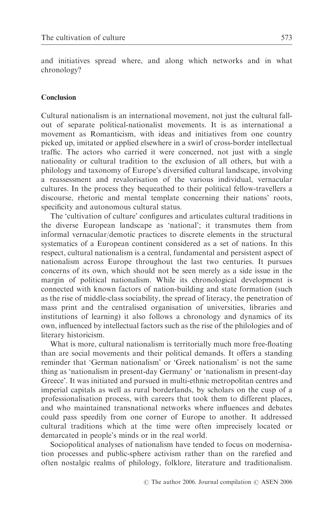and initiatives spread where, and along which networks and in what chronology?

### Conclusion

Cultural nationalism is an international movement, not just the cultural fallout of separate political-nationalist movements. It is as international a movement as Romanticism, with ideas and initiatives from one country picked up, imitated or applied elsewhere in a swirl of cross-border intellectual traffic. The actors who carried it were concerned, not just with a single nationality or cultural tradition to the exclusion of all others, but with a philology and taxonomy of Europe's diversified cultural landscape, involving a reassessment and revalorisation of the various individual, vernacular cultures. In the process they bequeathed to their political fellow-travellers a discourse, rhetoric and mental template concerning their nations' roots, specificity and autonomous cultural status.

The 'cultivation of culture' configures and articulates cultural traditions in the diverse European landscape as 'national'; it transmutes them from informal vernacular/demotic practices to discrete elements in the structural systematics of a European continent considered as a set of nations. In this respect, cultural nationalism is a central, fundamental and persistent aspect of nationalism across Europe throughout the last two centuries. It pursues concerns of its own, which should not be seen merely as a side issue in the margin of political nationalism. While its chronological development is connected with known factors of nation-building and state formation (such as the rise of middle-class sociability, the spread of literacy, the penetration of mass print and the centralised organisation of universities, libraries and institutions of learning) it also follows a chronology and dynamics of its own, influenced by intellectual factors such as the rise of the philologies and of literary historicism.

What is more, cultural nationalism is territorially much more free-floating than are social movements and their political demands. It offers a standing reminder that 'German nationalism' or 'Greek nationalism' is not the same thing as 'nationalism in present-day Germany' or 'nationalism in present-day Greece'. It was initiated and pursued in multi-ethnic metropolitan centres and imperial capitals as well as rural borderlands, by scholars on the cusp of a professionalisation process, with careers that took them to different places, and who maintained transnational networks where influences and debates could pass speedily from one corner of Europe to another. It addressed cultural traditions which at the time were often imprecisely located or demarcated in people's minds or in the real world.

Sociopolitical analyses of nationalism have tended to focus on modernisation processes and public-sphere activism rather than on the rarefied and often nostalgic realms of philology, folklore, literature and traditionalism.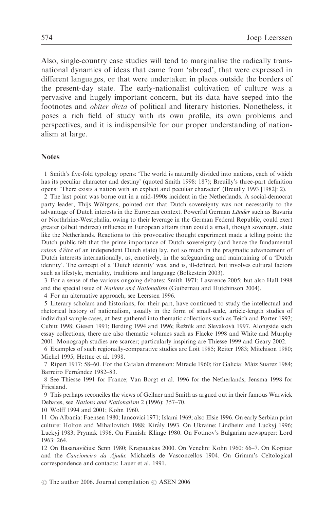Also, single-country case studies will tend to marginalise the radically transnational dynamics of ideas that came from 'abroad', that were expressed in different languages, or that were undertaken in places outside the borders of the present-day state. The early-nationalist cultivation of culture was a pervasive and hugely important concern, but its data have seeped into the footnotes and obiter dicta of political and literary histories. Nonetheless, it poses a rich field of study with its own profile, its own problems and perspectives, and it is indispensible for our proper understanding of nationalism at large.

#### Notes

1 Smith's five-fold typology opens: 'The world is naturally divided into nations, each of which has its peculiar character and destiny' (quoted Smith 1998: 187); Breuilly's three-part definition opens: 'There exists a nation with an explicit and peculiar character' (Breuilly 1993 [1982]: 2).

2 The last point was borne out in a mid-1990s incident in the Netherlands. A social-democrat party leader, Thijs Wöltgens, pointed out that Dutch sovereignty was not necessarily to the advantage of Dutch interests in the European context. Powerful German Länder such as Bavaria or Northrhine-Westphalia, owing to their leverage in the German Federal Republic, could exert greater (albeit indirect) influence in European affairs than could a small, though sovereign, state like the Netherlands. Reactions to this provocative thought experiment made a telling point: the Dutch public felt that the prime importance of Dutch sovereignty (and hence the fundamental raison d'être of an independent Dutch state) lay, not so much in the pragmatic advancement of Dutch interests internationally, as, emotively, in the safeguarding and maintaining of a 'Dutch identity'. The concept of a 'Dutch identity' was, and is, ill-defined, but involves cultural factors such as lifestyle, mentality, traditions and language (Bolkestein 2003).

3 For a sense of the various ongoing debates: Smith 1971; Lawrence 2005; but also Hall 1998 and the special issue of *Nations and Nationalism* (Guibernau and Hutchinson 2004).

4 For an alternative approach, see Leerssen 1996.

5 Literary scholars and historians, for their part, have continued to study the intellectual and rhetorical history of nationalism, usually in the form of small-scale, article-length studies of individual sample cases, at best gathered into thematic collections such as Teich and Porter 1993; Cubitt 1998; Giesen 1991; Berding 1994 and 1996; Řežník and Sleváková 1997. Alongside such essay collections, there are also thematic volumes such as Flacke 1998 and White and Murphy 2001. Monograph studies are scarcer; particularly inspiring are Thiesse 1999 and Geary 2002.

6 Examples of such regionally-comparative studies are Loit 1985; Reiter 1983; Mitchison 1980; Michel 1995; Hettne et al. 1998.

7 Ripert 1917: 58–60. For the Catalan dimension: Miracle 1960; for Galicia: Máiz Suarez 1984; Barreiro Fernández 1982-83.

8 See Thiesse 1991 for France; Van Borgt et al. 1996 for the Netherlands; Jensma 1998 for Friesland.

9 This perhaps reconciles the views of Gellner and Smith as argued out in their famous Warwick Debates, see Nations and Nationalism 2 (1996): 357–70.

10 Wolff 1994 and 2001; Kohn 1960.

11 On Albania: Faensen 1980; Iancovici 1971; Islami 1969; also Elsie 1996. On early Serbian print culture: Holton and Mihailovitch 1988; Király 1993. On Ukraine: Lindheim and Luckyj 1996; Luckyj 1983; Prymak 1996. On Finnish: Klinge 1980. On Fotinov's Bulgarian newspaper: Lord 1963: 264.

12 On Basanavičius: Senn 1980; Krapauskas 2000. On Venelin: Kohn 1960: 66-7. On Kopitar and the Cancioneiro da Ajuda: Michaëlis de Vasconcellos 1904. On Grimm's Celtological correspondence and contacts: Lauer et al. 1991.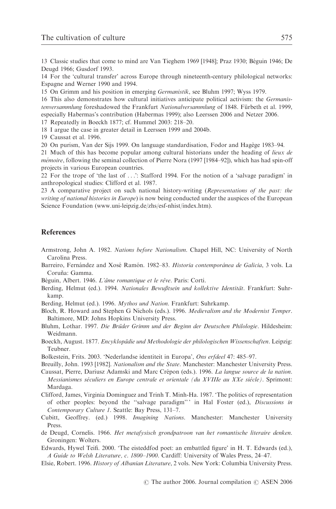13 Classic studies that come to mind are Van Tieghem 1969 [1948]; Praz 1930; Béguin 1946; De Deugd 1966; Gusdorf 1993.

14 For the 'cultural transfer' across Europe through nineteenth-century philological networks: Espagne and Werner 1990 and 1994.

15 On Grimm and his position in emerging Germanistik, see Bluhm 1997; Wyss 1979.

16 This also demonstrates how cultural initiatives anticipate political activism: the Germanistenversammlung foreshadowed the Frankfurt Nationalversammlung of 1848. Fürbeth et al. 1999, especially Habermas's contribution (Habermas 1999); also Leerssen 2006 and Netzer 2006.

17 Repeatedly in Boeckh 1877; cf. Hummel 2003: 218–20.

18 I argue the case in greater detail in Leerssen 1999 and 2004b.

19 Caussat et al. 1996.

20 On purism, Van der Sijs 1999. On language standardisation, Fodor and Hagège 1983–94.

21 Much of this has become popular among cultural historians under the heading of lieux de *mémoire*, following the seminal collection of Pierre Nora (1997 [1984–92]), which has had spin-off projects in various European countries.

22 For the trope of 'the last of . . .': Stafford 1994. For the notion of a 'salvage paradigm' in anthropological studies: Clifford et al. 1987.

23 A comparative project on such national history-writing (Representations of the past: the writing of national histories in Europe) is now being conducted under the auspices of the European Science Foundation (www.uni-leipzig.de/zhs/esf-nhist/index.htm).

#### References

- Armstrong, John A. 1982. Nations before Nationalism. Chapel Hill, NC: University of North Carolina Press.
- Barreiro, Fernández and Xosé Ramón. 1982–83. Historia contemporánea de Galicia, 3 vols. La Coruña: Gamma.
- Béguin, Albert. 1946. L'âme romantique et le rêve. Paris: Corti.
- Berding, Helmut (ed.). 1994. Nationales Bewußtsein und kollektive Identität. Frankfurt: Suhrkamp.
- Berding, Helmut (ed.). 1996. *Mythos und Nation*. Frankfurt: Suhrkamp.
- Bloch, R. Howard and Stephen G Nichols (eds.). 1996. Medievalism and the Modernist Temper. Baltimore, MD: Johns Hopkins University Press.
- Bluhm, Lothar. 1997. Die Brüder Grimm und der Beginn der Deutschen Philologie. Hildesheim: Weidmann.
- Boeckh, August. 1877. Encyklopädie und Methodologie der philologischen Wissenschaften. Leipzig: Teubner.
- Bolkestein, Frits. 2003. 'Nederlandse identiteit in Europa', Ons erfdeel 47: 485–97.
- Breuilly, John. 1993 [1982]. Nationalism and the State. Manchester: Manchester University Press. Caussat, Pierre, Dariusz Adamski and Marc Crépon (eds.). 1996. La langue source de la nation. Messianismes séculiers en Europe centrale et orientale (du XVIIIe au XXe siècle). Sprimont:

Mardaga.

Clifford, James, Virginia Dominguez and Trinh T. Minh-Ha. 1987. 'The politics of representation of other peoples: beyond the "salvage paradigm" in Hal Foster (ed.), Discussions in Contemporary Culture 1. Seattle: Bay Press, 131–7.

- Cubitt, Geoffrey. (ed.) 1998. Imagining Nations. Manchester: Manchester University Press.
- de Deugd, Cornelis. 1966. Het metafysisch grondpatroon van het romantische literaire denken. Groningen: Wolters.
- Edwards, Hywel Teifi. 2000. 'The eisteddfod poet: an embattled figure' in H. T. Edwards (ed.), A Guide to Welsh Literature, c. 1800–1900. Cardiff: University of Wales Press, 24–47.
- Elsie, Robert. 1996. History of Albanian Literature, 2 vols. New York: Columbia University Press.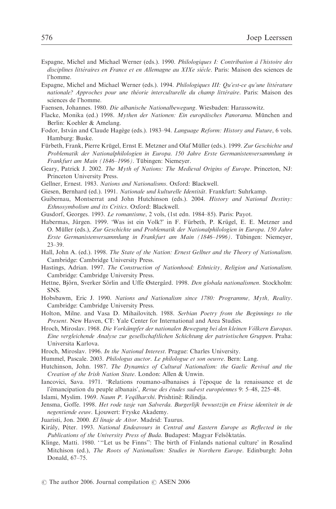- Espagne, Michel and Michael Werner (eds.). 1990. Philologiques I: Contribution a` l'histoire des disciplines littéraires en France et en Allemagne au XIXe siècle. Paris: Maison des sciences de l'homme.
- Espagne, Michel and Michael Werner (eds.). 1994. Philologiques III: Ou'est-ce qu'une littérature nationale? Approches pour une théorie interculturelle du champ littéraire. Paris: Maison des sciences de l'homme.

Faensen, Johannes. 1980. Die albanische Nationalbewegung. Wiesbaden: Harassowitz.

- Flacke, Monika (ed.) 1998. Mythen der Nationen: Ein europäisches Panorama. München and Berlin: Koehler & Amelang.
- Fodor, István and Claude Hagège (eds.). 1983–94. Language Reform: History and Future, 6 vols. Hamburg: Buske.
- Fürbeth, Frank, Pierre Krügel, Ernst E. Metzner and Olaf Müller (eds.). 1999. Zur Geschichte und Problematik der Nationalphilologien in Europa. 150 Jahre Erste Germanistenversammlung in Frankfurt am Main (1846–1996). Tübingen: Niemeyer.
- Geary, Patrick J. 2002. The Myth of Nations: The Medieval Origins of Europe. Princeton, NJ: Princeton University Press.
- Gellner, Ernest. 1983. Nations and Nationalisms. Oxford: Blackwell.
- Giesen, Bernhard (ed.). 1991. Nationale und kulturelle Identität. Frankfurt: Suhrkamp.
- Guibernau, Montserrat and John Hutchinson (eds.). 2004. History and National Destiny: Ethnosymbolism and its Critics. Oxford: Blackwell.
- Gusdorf, Georges. 1993. Le romantisme, 2 vols, (1st edn. 1984–85). Paris: Payot.
- Habermas, Jürgen. 1999. 'Was ist ein Volk?' in F. Fürbeth, P. Krügel, E. E. Metzner and O. Müller (eds.), Zur Geschichte und Problematik der Nationalphilologien in Europa. 150 Jahre Erste Germanistenversammlung in Frankfurt am Main (1846–1996). Tübingen: Niemeyer, 23–39.
- Hall, John A. (ed.). 1998. The State of the Nation: Ernest Gellner and the Theory of Nationalism. Cambridge: Cambridge University Press.
- Hastings, Adrian. 1997. The Construction of Nationhood: Ethnicity, Religion and Nationalism. Cambridge: Cambridge University Press.
- Hettne, Björn, Sverker Sörlin and Uffe Østergård. 1998. Den globala nationalismen. Stockholm: SNS.
- Hobsbawm, Eric J. 1990. Nations and Nationalism since 1780: Programme, Myth, Reality. Cambridge: Cambridge University Press.
- Holton, Milne. and Vasa D. Mihailovitch. 1988. Serbian Poetry from the Beginnings to the Present. New Haven, CT: Yale Center for International and Area Studies.
- Hroch, Miroslav. 1968. Die Vorkämpfer der nationalen Bewegung bei den kleinen Völkern Europas. Eine vergleichende Analyse zur gesellschaftlichen Schichtung der patriotischen Gruppen. Praha: Universita Karlova.
- Hroch, Miroslav. 1996. In the National Interest. Prague: Charles University.
- Hummel, Pascale. 2003. Philologus auctor. Le philologue et son oeuvre. Bern: Lang.
- Hutchinson, John. 1987. The Dynamics of Cultural Nationalism: the Gaelic Revival and the Creation of the Irish Nation State. London: Allen & Unwin.

Iancovici, Sava. 1971. 'Relations roumano-albanaises à l'époque de la renaissance et de l'émancipation du peuple albanais', Revue des études sud-est européennes 9: 5-48, 225-48.

- Islami, Myslim. 1969. Naum P. Veqilharxhi. Prishtinë: Rilindja.
- Jensma, Goffe. 1998. Het rode tasje van Salverda. Burgerlijk bewustzijn en Friese identiteit in de negentiende eeuw. Ljouwert: Fryske Akademy.
- Juaristi, Jon. 2000. El linaje de Aitor. Madrid: Taurus.
- Király, Péter. 1993. National Endeavours in Central and Eastern Europe as Reflected in the Publications of the University Press of Buda. Budapest: Magyar Felsöktatás.
- Klinge, Matti. 1980. "'Let us be Finns'': The birth of Finlands national culture' in Rosalind Mitchison (ed.), The Roots of Nationalism: Studies in Northern Europe. Edinburgh: John Donald, 67–75.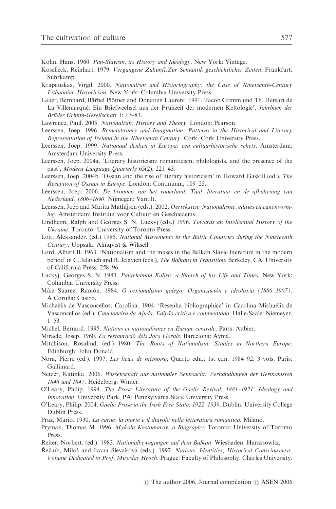Kohn, Hans. 1960. Pan-Slavism, its History and Ideology. New York: Vintage.

- Koselleck, Reinhart. 1979. Vergangene Zukunft.Zur Semantik geschichtlicher Zeiten. Frankfurt: Suhrkamp.
- Krapauskas, Virgil. 2000. Nationalism and Historiography: the Case of Nineteenth-Century Lithuanian Historicism. New York: Columbia University Press.
- Lauer, Bernhard, Bärbel Plötner and Donatien Laurent. 1991. 'Jacob Grimm und Th. Hersart de La Villemarqué: Ein Briefwechsel aus der Frühzeit der modernen Keltologie', Jahrbuch der Bru¨der Grimm-Gesellschaft 1: 17–83.

Lawrence, Paul. 2005. Nationalism: History and Theory. London: Pearson.

- Leerssen, Joep. 1996. Remembrance and Imagination: Patterns in the Historical and Literary Representation of Ireland in the Nineteenth Century. Cork: Cork University Press.
- Leerssen, Joep. 1999. Nationaal denken in Europa: een cultuurhistorische schets. Amsterdam: Amsterdam University Press.
- Leerssen, Joep. 2004a. 'Literary historicism: romanticism, philologists, and the presence of the past', Modern Language Quarterly 65(2): 221–43.
- Leerssen, Joep. 2004b. 'Ossian and the rise of literary historicism' in Howard Gaskill (ed.), The Reception of Ossian in Europe. London: Continuum, 109–25.
- Leerssen, Joep. 2006. De bronnen van het vaderland: Taal, literatuur en de afbakening van Nederland, 1806–1890. Nijmegen: Vantilt.
- Leerssen, Joep and Marita Mathijsen (eds.). 2002. Oerteksten: Nationalisme, edities en canonvorming. Amsterdam: Instituut voor Cultuur en Geschiedenis.
- Lindheim, Ralph and Georges S. N. Luckyj (eds.) 1996. Towards an Intellectual History of the Ukraine. Toronto: University of Toronto Press.
- Loit, Aleksander. (ed.) 1985. National Movements in the Baltic Countries during the Nineteenth Century. Uppsala: Almqvist & Wiksell.
- Lord, Albert B. 1963. 'Nationalism and the muses in the Balkan Slavic literature in the modern period' in C. Jelavich and B. Jelavich (eds.), The Balkans in Transition. Berkeley, CA: University of California Press, 258–96.
- Luckyj, Georges S. N. 1983. Panteleimon Kulish: a Sketch of his Life and Times. New York: Columbia University Press.
- Máiz Suarez, Ramón. 1984. O rexionalismo galego: Organización e ideoloxía (1886–1907). A Coruña: Castro.
- Michaëlis de Vasconcellos, Carolina. 1904. 'Resenha bibliographica' in Carolina Michaëlis de Vasconcellos (ed.), Cancioneiro da Ajuda. Edição critica e commentada. Halle/Saale: Niemeyer, 1–53.
- Michel, Bernard. 1995. Nations et nationalismes en Europe centrale. Paris: Aubier.
- Miracle, Josep. 1960. La restauració dels Jocs Florals. Barcelona: Aymà.
- Mitchison, Rosalind. (ed.) 1980. The Roots of Nationalism: Studies in Northern Europe. Edinburgh: John Donald.
- Nora, Pierre (ed.). 1997. Les lieux de mémoire, Quarto edn.; 1st edn. 1984–92. 3 vols. Paris: Gallimard.
- Netzer, Katinka. 2006. Wissenschaft aus nationaler Sehnsucht: Verhandlungen der Germanisten 1846 und 1847. Heidelberg: Winter.
- O'Leary, Philip. 1994. The Prose Literature of the Gaelic Revival, 1881–1921: Ideology and Innovation. University Park, PA: Pennsylvania State University Press.
- O'Leary, Philip. 2004. Gaelic Prose in the Irish Free State, 1922–1939. Dublin: University College Dublin Press.
- Praz, Mario. 1930. La carne, la morte e il diavolo nella letteratura romantica. Milano.
- Prymak, Thomas M. 1996. *Mykola Kostomarov: a Biography*. Toronto: University of Toronto Press.
- Reiter, Norbert. (ed.). 1983. Nationalbewegungen auf dem Balkan. Wiesbaden: Harassowitz.
- Řežník, Miloš and Ivana Sleváková (eds.). 1997. Nations, Identities, Historical Consciousness. Volume Dedicated to Prof. Miroslav Hroch. Prague: Faculty of Philosophy, Charles University.